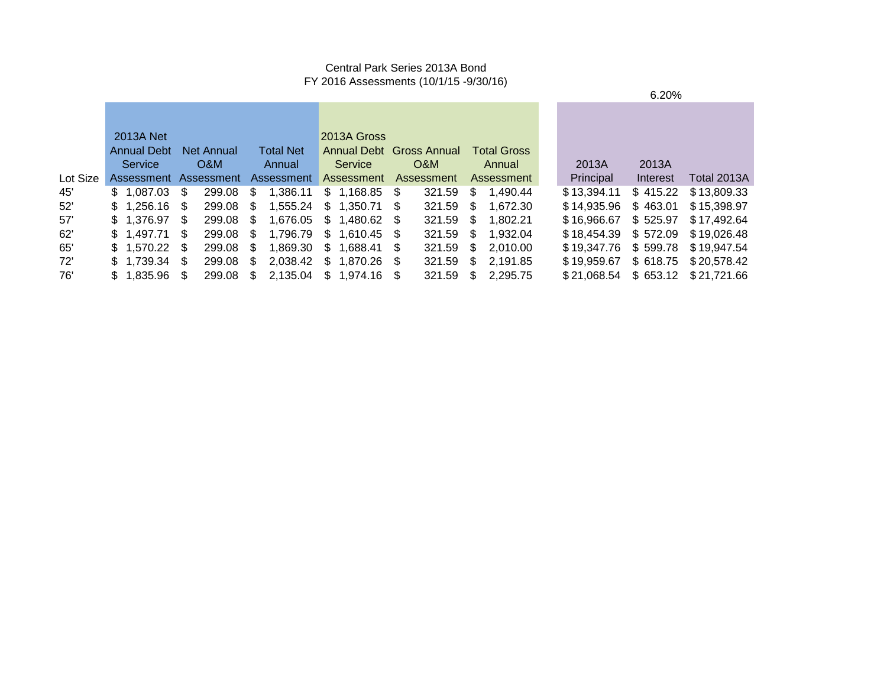#### Central Park Series 2013A Bond FY 2016 Assessments (10/1/15 -9/30/16)

|          | 2013A Net             |     |                   |    |                                   | 2013A Gross              |           |    |                    |                      |          |                                  |
|----------|-----------------------|-----|-------------------|----|-----------------------------------|--------------------------|-----------|----|--------------------|----------------------|----------|----------------------------------|
|          | <b>Annual Debt</b>    |     | <b>Net Annual</b> |    | <b>Total Net</b>                  | Annual Debt Gross Annual |           |    | <b>Total Gross</b> |                      |          |                                  |
|          | Service               |     | O&M               |    | Annual                            | Service                  | O&M       |    | Annual             | 2013A                | 2013A    |                                  |
| Lot Size | Assessment Assessment |     |                   |    | Assessment                        | Assessment Assessment    |           |    | Assessment         | Principal            | Interest | Total 2013A                      |
| 45'      | \$1.087.03            | -S  | 299.08            | S. | 1,386.11                          | $$1,168.85$ \$           | 321.59    |    | \$ 1,490.44        | \$13.394.11          | \$415.22 | \$13,809.33                      |
| 52'      | $$1.256.16$ \$        |     | 299.08 \$         |    |                                   | 1,555.24 \$ 1,350.71 \$  |           |    | 321.59 \$ 1,672.30 | \$14.935.96          | \$463.01 | \$15,398.97                      |
| 57'      | \$1.376.97            | S.  | 299.08 \$         |    |                                   | 1,676.05 \$ 1,480.62 \$  |           |    | 321.59 \$ 1,802.21 | \$16,966.67 \$525.97 |          | \$17,492.64                      |
| 62'      | \$1.497.71            | \$. | 299.08 \$         |    |                                   | 1.796.79 \$ 1.610.45 \$  | 321.59 \$ |    | 1.932.04           | \$18,454.39 \$572.09 |          | \$ 19.026.48                     |
| 65'      | $$1.570.22$ \$        |     | 299.08 \$         |    |                                   | 1,869.30 \$ 1,688.41 \$  | 321.59 \$ |    | 2.010.00           | \$19,347.76 \$599.78 |          | \$ 19.947.54                     |
| 72'      | $$1.739.34$ \$        |     | 299.08 \$         |    |                                   | 2,038.42 \$ 1,870.26 \$  | 321.59    | S. | 2.191.85           | \$19,959.67          |          | $$618.75$ $$20,578.42$           |
| 76'      | $$1.835.96$ \$        |     |                   |    | 299.08 \$ 2,135.04 \$ 1,974.16 \$ |                          | 321.59    |    | \$2.295.75         |                      |          | \$21,068.54 \$653.12 \$21,721.66 |

6.20%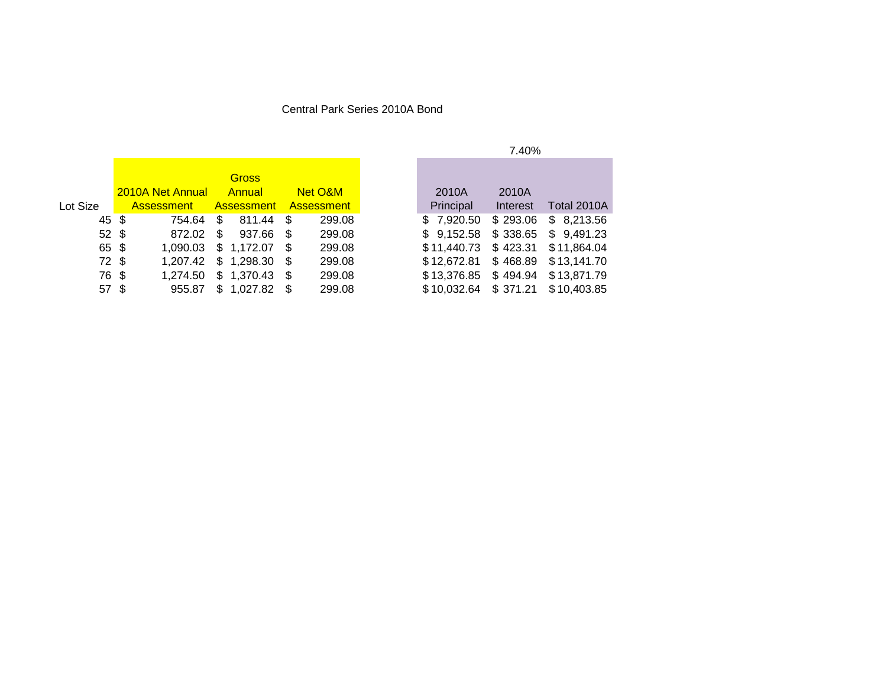#### Central Park Series 2010A Bond

|                  |                         |    |                |      |                   |                        | .        |
|------------------|-------------------------|----|----------------|------|-------------------|------------------------|----------|
|                  |                         |    |                |      |                   |                        |          |
|                  |                         |    | <b>Gross</b>   |      |                   |                        |          |
|                  | <b>2010A Net Annual</b> |    | Annual         |      | Net O&M           | 2010A                  | 2010A    |
| Lot Size         | <b>Assessment</b>       |    | Assessment     |      | <b>Assessment</b> | Principal              | Interest |
| 45 \$            | 754.64                  | S. | 811.44         | - \$ | 299.08            | \$7,920.50             | \$293.06 |
| $52 \text{ }$ \$ | 872.02                  | \$ | 937.66 \$      |      | 299.08            | \$9,152.58             | \$338.65 |
| 65 \$            | 1.090.03                |    | $$1,172.07$ \$ |      | 299.08            | \$11,440.73 \$423.31   |          |
| $72 \text{ }$    | 1,207.42                |    | $$1,298.30$ \$ |      | 299.08            | \$12,672.81            | \$468.89 |
| 76 \$            | 1,274.50                |    | $$1,370.43$ \$ |      | 299.08            | \$13,376.85            | \$494.94 |
| 57 \$            | 955.87                  |    | $$1,027.82$ \$ |      | 299.08            | $$10,032.64$ $$371.21$ |          |

#### 7.40%

| 2010A       | 2010A    |             |
|-------------|----------|-------------|
| Principal   | Interest | Total 2010A |
| \$7,920.50  | \$293.06 | \$8,213.56  |
| \$9,152.58  | \$338.65 | \$9,491.23  |
| \$11,440.73 | \$423.31 | \$11,864.04 |
| \$12,672.81 | \$468.89 | \$13,141.70 |
| \$13,376.85 | \$494.94 | \$13,871.79 |
| \$10,032.64 | \$371.21 | \$10,403.85 |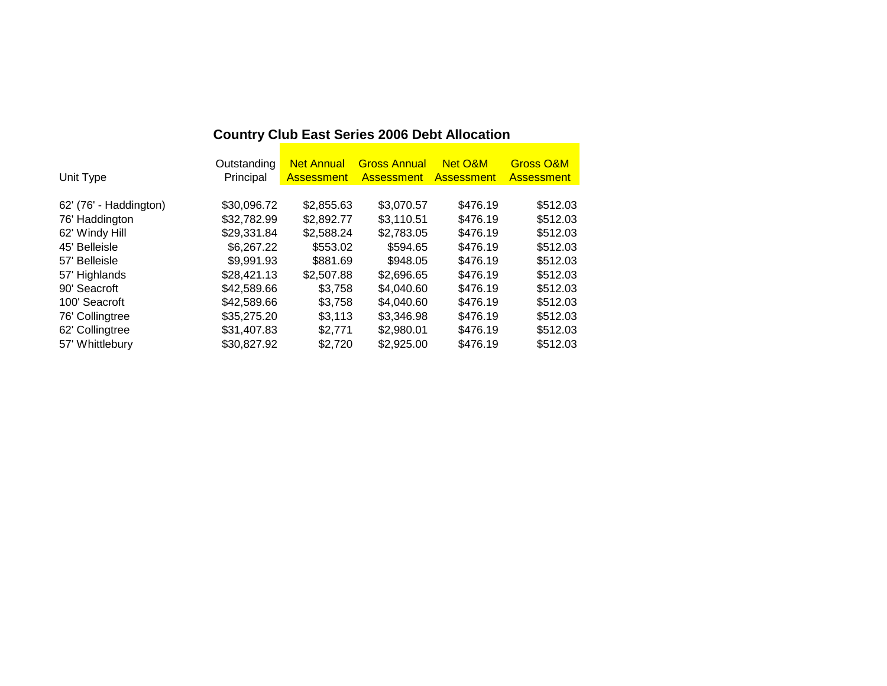| Unit Type              | Outstanding<br>Principal | <b>Net Annual</b><br><b>Assessment</b> | <b>Gross Annual</b><br><b>Assessment</b> | Net O&M<br><b>Assessment</b> | <b>Gross O&amp;M</b><br><b>Assessment</b> |
|------------------------|--------------------------|----------------------------------------|------------------------------------------|------------------------------|-------------------------------------------|
|                        |                          |                                        |                                          |                              |                                           |
| 62' (76' - Haddington) | \$30,096.72              | \$2,855.63                             | \$3,070.57                               | \$476.19                     | \$512.03                                  |
| 76' Haddington         | \$32,782.99              | \$2,892.77                             | \$3,110.51                               | \$476.19                     | \$512.03                                  |
| 62' Windy Hill         | \$29,331.84              | \$2,588.24                             | \$2,783.05                               | \$476.19                     | \$512.03                                  |
| 45' Belleisle          | \$6,267.22               | \$553.02                               | \$594.65                                 | \$476.19                     | \$512.03                                  |
| 57' Belleisle          | \$9,991.93               | \$881.69                               | \$948.05                                 | \$476.19                     | \$512.03                                  |
| 57' Highlands          | \$28,421.13              | \$2,507.88                             | \$2,696.65                               | \$476.19                     | \$512.03                                  |
| 90' Seacroft           | \$42,589.66              | \$3,758                                | \$4,040.60                               | \$476.19                     | \$512.03                                  |
| 100' Seacroft          | \$42,589.66              | \$3,758                                | \$4,040.60                               | \$476.19                     | \$512.03                                  |
| 76' Collingtree        | \$35,275.20              | \$3,113                                | \$3,346.98                               | \$476.19                     | \$512.03                                  |
| 62' Collingtree        | \$31,407.83              | \$2,771                                | \$2,980.01                               | \$476.19                     | \$512.03                                  |
| 57' Whittlebury        | \$30,827.92              | \$2.720                                | \$2,925,00                               | \$476.19                     | \$512.03                                  |

# **Country Club East Series 2006 Debt Allocation**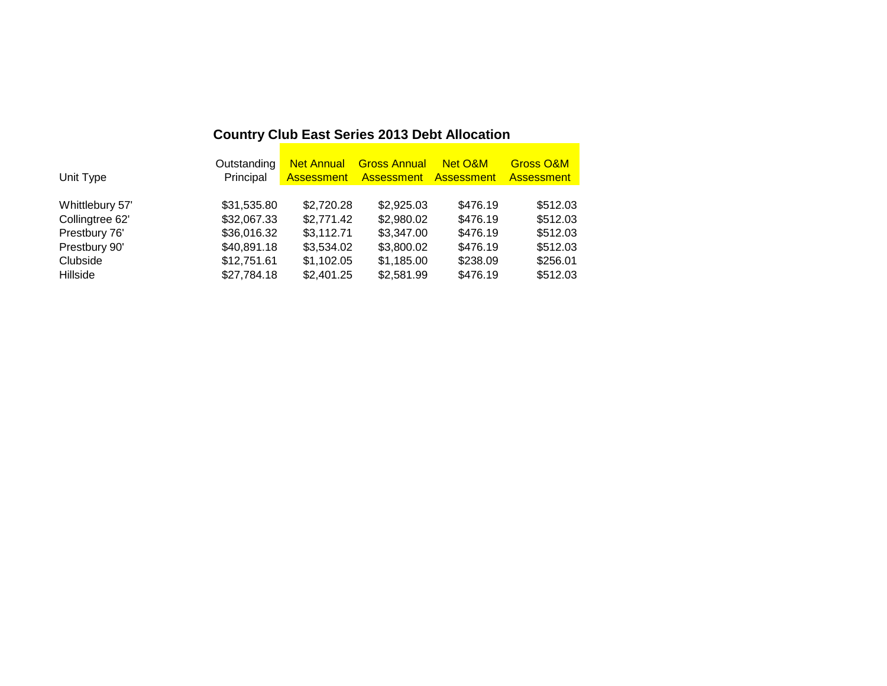# **Country Club East Series 2013 Debt Allocation**

| Unit Type       | Outstanding<br>Principal |            | <b>Net Annual Gross Annual</b><br>Assessment Assessment Assessment | Net O&M  | <b>Gross O&amp;M</b><br><b>Assessment</b> |
|-----------------|--------------------------|------------|--------------------------------------------------------------------|----------|-------------------------------------------|
| Whittlebury 57' | \$31,535.80              | \$2,720.28 | \$2,925.03                                                         | \$476.19 | \$512.03                                  |
| Collingtree 62' | \$32,067.33              | \$2,771.42 | \$2,980.02                                                         | \$476.19 | \$512.03                                  |
| Prestbury 76'   | \$36,016.32              | \$3,112.71 | \$3,347.00                                                         | \$476.19 | \$512.03                                  |
| Prestbury 90'   | \$40,891.18              | \$3,534.02 | \$3,800.02                                                         | \$476.19 | \$512.03                                  |
| Clubside        | \$12,751.61              | \$1,102.05 | \$1,185.00                                                         | \$238.09 | \$256.01                                  |
| Hillside        | \$27,784.18              | \$2,401.25 | \$2,581.99                                                         | \$476.19 | \$512.03                                  |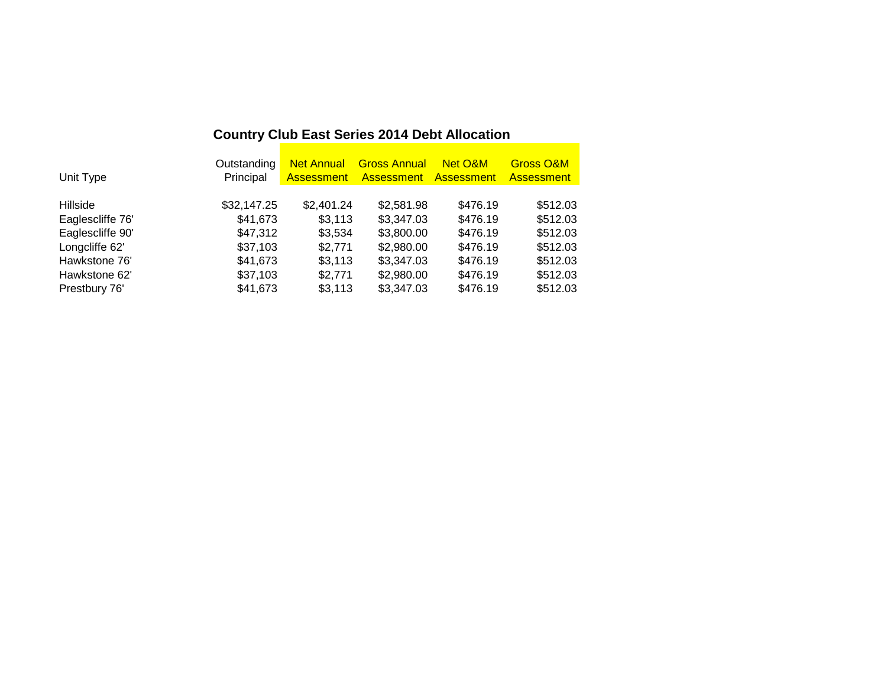| <b>Country Club East Series 2014 Debt Allocation</b> |
|------------------------------------------------------|
|                                                      |

|                  | Outstanding | <b>Net Annual</b> | <b>Gross Annual</b> | Net O&M           | <b>Gross O&amp;M</b> |
|------------------|-------------|-------------------|---------------------|-------------------|----------------------|
| Unit Type        | Principal   | Assessment        | <b>Assessment</b>   | <b>Assessment</b> | <b>Assessment</b>    |
|                  |             |                   |                     |                   |                      |
| Hillside         | \$32,147.25 | \$2,401.24        | \$2,581.98          | \$476.19          | \$512.03             |
| Eaglescliffe 76' | \$41,673    | \$3,113           | \$3,347.03          | \$476.19          | \$512.03             |
| Eaglescliffe 90' | \$47,312    | \$3,534           | \$3,800.00          | \$476.19          | \$512.03             |
| Longcliffe 62'   | \$37,103    | \$2,771           | \$2,980.00          | \$476.19          | \$512.03             |
| Hawkstone 76'    | \$41,673    | \$3,113           | \$3,347.03          | \$476.19          | \$512.03             |
| Hawkstone 62'    | \$37,103    | \$2,771           | \$2,980.00          | \$476.19          | \$512.03             |
| Prestbury 76'    | \$41,673    | \$3,113           | \$3,347.03          | \$476.19          | \$512.03             |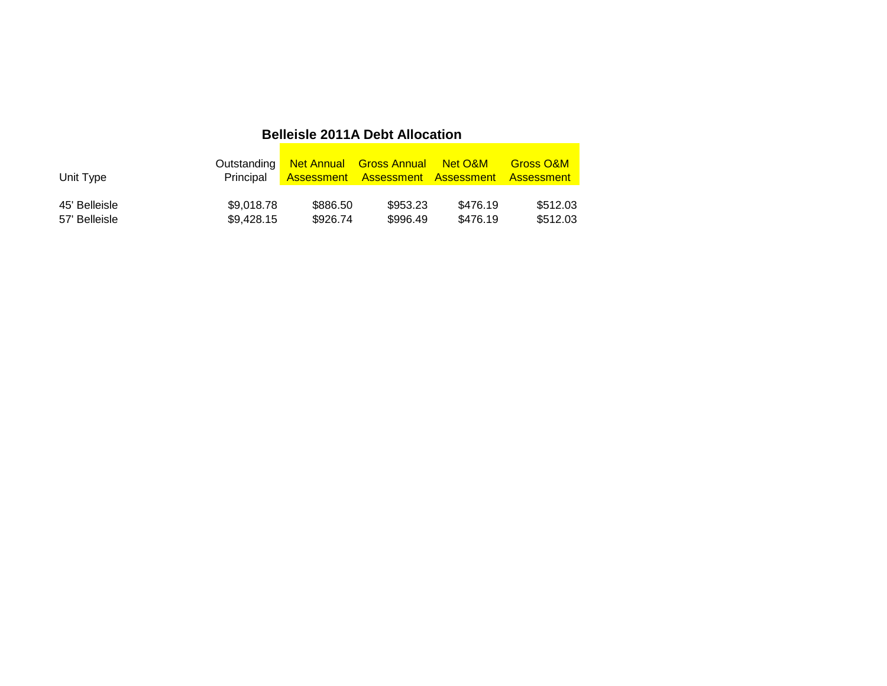## **Belleisle 2011A Debt Allocation**

| Unit Type     | Principal  |          | Outstanding Net Annual Gross Annual Net O&M<br><b>Assessment Assessment Assessment Assessment</b> |          | <b>Gross O&amp;M</b> |
|---------------|------------|----------|---------------------------------------------------------------------------------------------------|----------|----------------------|
| 45' Belleisle | \$9,018.78 | \$886.50 | \$953.23                                                                                          | \$476.19 | \$512.03             |
| 57' Belleisle | \$9,428.15 | \$926.74 | \$996.49                                                                                          | \$476.19 | \$512.03             |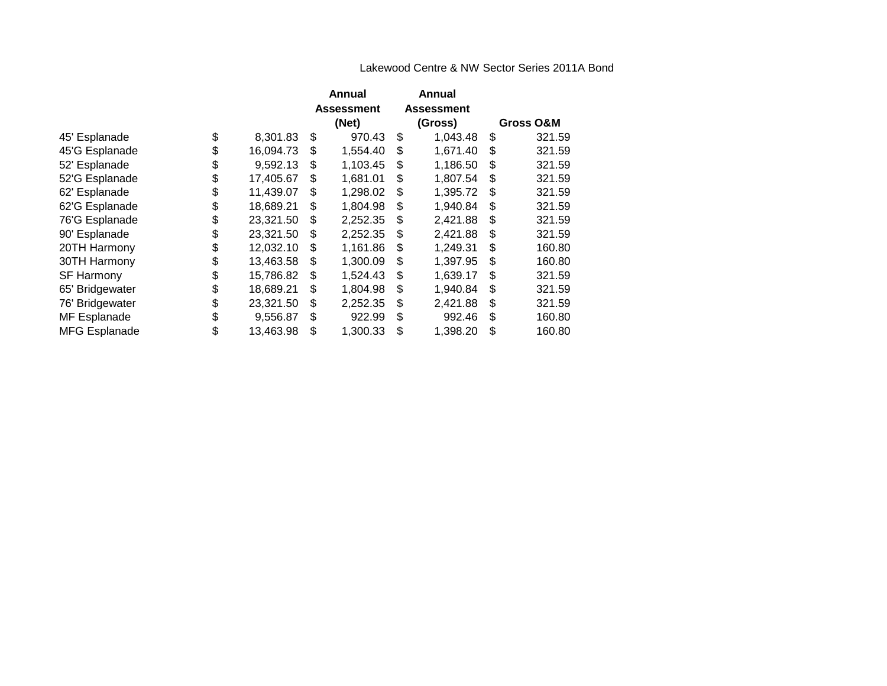#### Lakewood Centre & NW Sector Series 2011A Bond

|                      |                 | Annual            | Annual            |     |           |
|----------------------|-----------------|-------------------|-------------------|-----|-----------|
|                      |                 | <b>Assessment</b> | <b>Assessment</b> |     |           |
|                      |                 | (Net)             | (Gross)           |     | Gross O&M |
| 45' Esplanade        | \$<br>8,301.83  | \$<br>970.43      | \$<br>1,043.48    | S   | 321.59    |
| 45'G Esplanade       | \$<br>16,094.73 | \$<br>1,554.40    | \$<br>1,671.40    | \$  | 321.59    |
| 52' Esplanade        | \$<br>9,592.13  | \$<br>1,103.45    | \$<br>1,186.50    | \$  | 321.59    |
| 52'G Esplanade       | \$<br>17,405.67 | \$<br>1,681.01    | \$<br>1,807.54    | \$. | 321.59    |
| 62' Esplanade        | \$<br>11,439.07 | \$<br>1,298.02    | \$<br>1,395.72    | \$. | 321.59    |
| 62'G Esplanade       | \$<br>18,689.21 | \$<br>1,804.98    | \$<br>1,940.84    | S   | 321.59    |
| 76'G Esplanade       | \$<br>23,321.50 | \$<br>2,252.35    | \$<br>2,421.88    | \$  | 321.59    |
| 90' Esplanade        | \$<br>23,321.50 | \$<br>2,252.35    | \$<br>2,421.88    | \$  | 321.59    |
| 20TH Harmony         | \$<br>12,032.10 | \$<br>1,161.86    | \$<br>1,249.31    | \$  | 160.80    |
| 30TH Harmony         | \$<br>13,463.58 | \$<br>1,300.09    | \$<br>1,397.95    | \$  | 160.80    |
| <b>SF Harmony</b>    | \$<br>15,786.82 | \$<br>1,524.43    | \$<br>1,639.17    | \$. | 321.59    |
| 65' Bridgewater      | \$<br>18,689.21 | \$<br>1,804.98    | \$<br>1,940.84    | \$  | 321.59    |
| 76' Bridgewater      | \$<br>23,321.50 | \$<br>2,252.35    | \$<br>2,421.88    | \$  | 321.59    |
| MF Esplanade         | \$<br>9,556.87  | \$<br>922.99      | \$<br>992.46      | \$  | 160.80    |
| <b>MFG Esplanade</b> | \$<br>13,463.98 | \$<br>1,300.33    | \$<br>1,398.20    | \$  | 160.80    |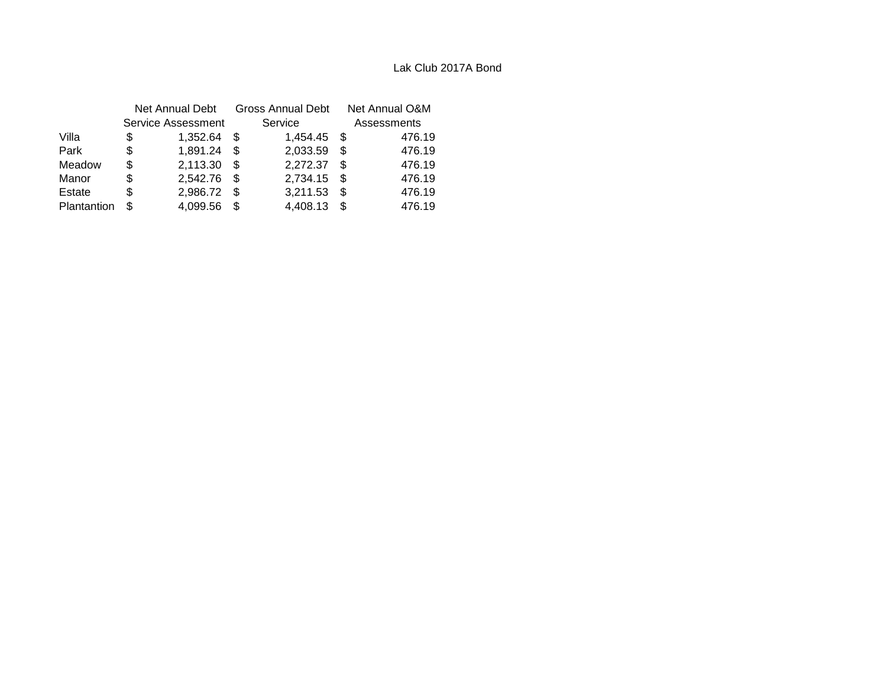|             | Net Annual Debt |                    | <b>Gross Annual Debt</b> |             |      | Net Annual O&M |  |  |
|-------------|-----------------|--------------------|--------------------------|-------------|------|----------------|--|--|
|             |                 | Service Assessment |                          | Service     |      | Assessments    |  |  |
| Villa       | \$              | 1,352.64           | - \$                     | 1,454.45 \$ |      | 476.19         |  |  |
| Park        | S               | 1,891.24           | \$.                      | 2,033.59    | \$.  | 476.19         |  |  |
| Meadow      | S               | 2,113.30           | S                        | 2,272.37    | \$.  | 476.19         |  |  |
| Manor       | S               | 2,542.76 \$        |                          | 2,734.15    | - \$ | 476.19         |  |  |
| Estate      | S               | 2,986.72           | \$.                      | 3,211.53    | \$.  | 476.19         |  |  |
| Plantantion | S               | 4,099.56           |                          | 4,408.13    | \$.  | 476.19         |  |  |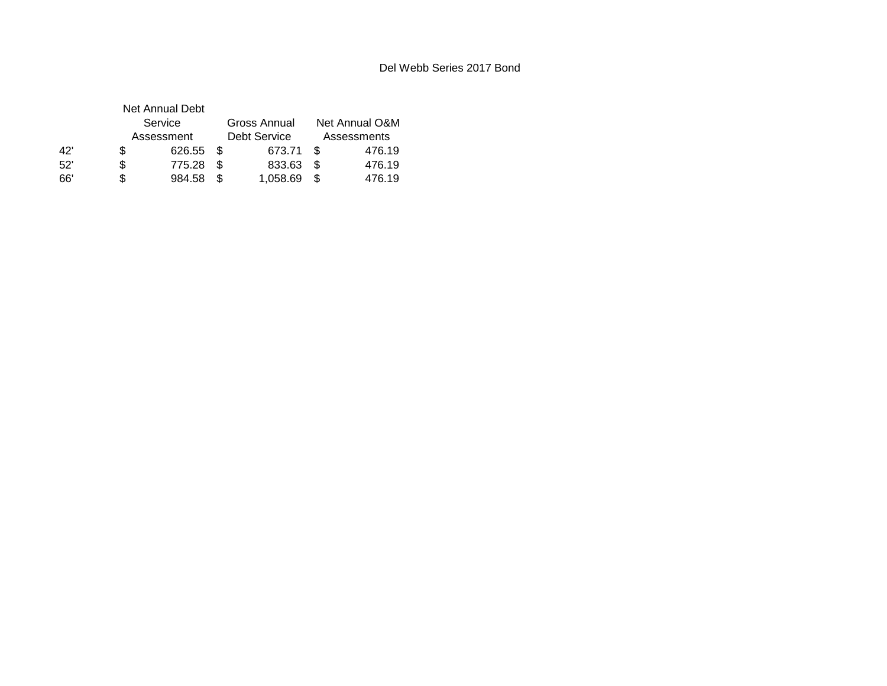|     |   | Net Annual Debt |      |              |                               |        |  |
|-----|---|-----------------|------|--------------|-------------------------------|--------|--|
|     |   | Service         |      | Gross Annual | Net Annual O&M<br>Assessments |        |  |
|     |   | Assessment      |      | Debt Service |                               |        |  |
| 42' | S | 626.55 \$       |      | 673.71       | - \$                          | 476.19 |  |
| 52' | S | 775.28          | - \$ | 833.63       | - \$                          | 476.19 |  |
| 66' | S | 984.58          | - \$ | 1,058.69     | \$.                           | 476.19 |  |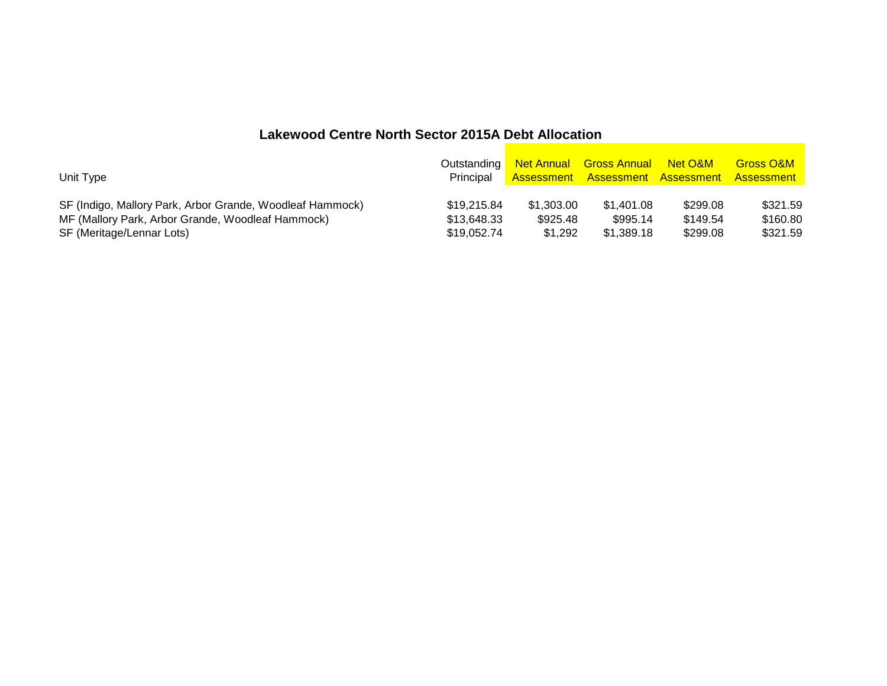## **Lakewood Centre North Sector 2015A Debt Allocation**

|                                                        |                                   | <b>Gross O&amp;M</b>                                                                                                                      |
|--------------------------------------------------------|-----------------------------------|-------------------------------------------------------------------------------------------------------------------------------------------|
| \$995.14                                               | \$299.08<br>\$149.54              | \$321.59<br>\$160.80<br>\$321.59                                                                                                          |
| Principal<br>\$19,215,84<br>\$13.648.33<br>\$19.052.74 | \$1,303.00<br>\$925.48<br>\$1.292 | Outstanding Net Annual Gross Annual Net O&M<br><b>Assessment Assessment Assessment Assessment</b><br>\$1.401.08<br>\$299.08<br>\$1.389.18 |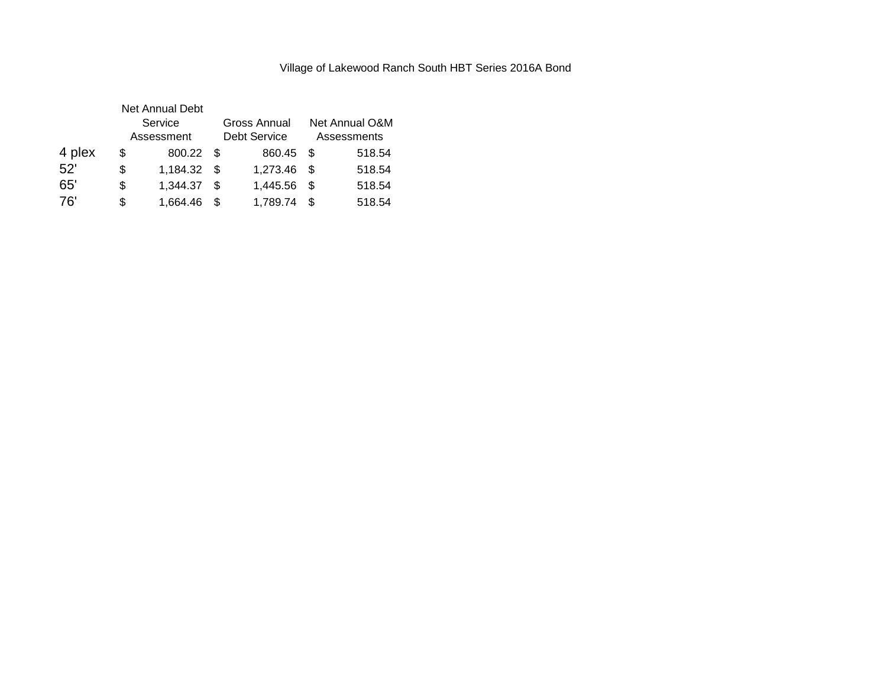### Village of Lakewood Ranch South HBT Series 2016A Bond

|        |    | <b>Net Annual Debt</b> |      |                                     |      |                               |  |
|--------|----|------------------------|------|-------------------------------------|------|-------------------------------|--|
|        |    | Service<br>Assessment  |      | Gross Annual<br><b>Debt Service</b> |      | Net Annual O&M<br>Assessments |  |
|        |    |                        |      |                                     |      |                               |  |
| 4 plex | S  | 800.22 \$              |      | 860.45 \$                           |      | 518.54                        |  |
| 52'    | \$ | 1,184.32 \$            |      | 1,273.46 \$                         |      | 518.54                        |  |
| 65'    | \$ | 1,344.37               | - \$ | 1,445.56                            | - \$ | 518.54                        |  |
| 76'    | \$ | 1,664.46               |      | 1,789.74                            | \$   | 518.54                        |  |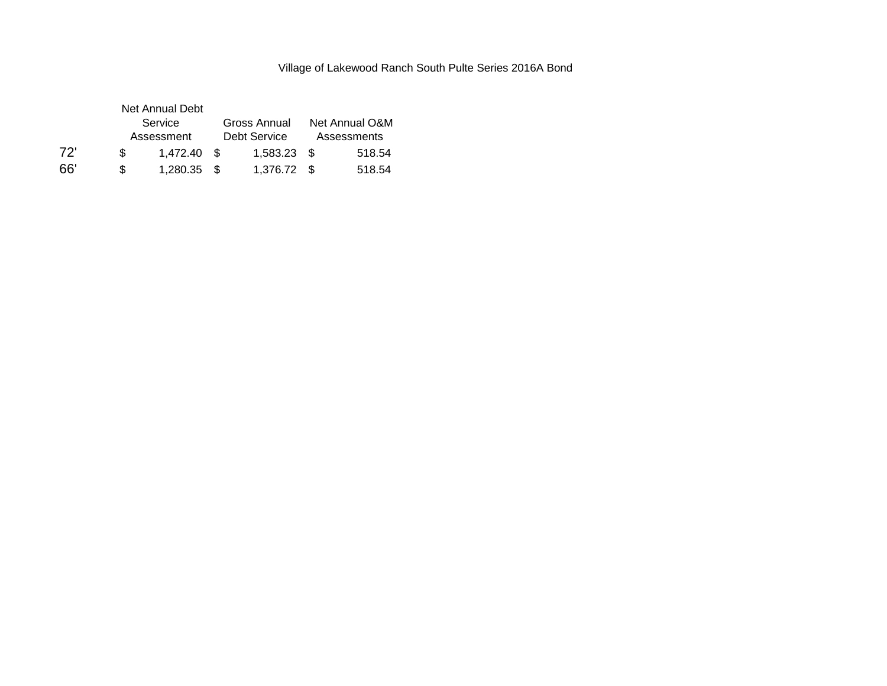### Village of Lakewood Ranch South Pulte Series 2016A Bond

|     |     | Net Annual Debt |  |               |  |                |  |
|-----|-----|-----------------|--|---------------|--|----------------|--|
|     |     | Service         |  | Gross Annual  |  | Net Annual O&M |  |
|     |     | Assessment      |  | Debt Service  |  | Assessments    |  |
| 72' | \$. | 1.472.40 \$     |  | $1.583.23$ \$ |  | 518.54         |  |
| 66' | \$. | 1,280.35 \$     |  | 1.376.72 \$   |  | 518.54         |  |